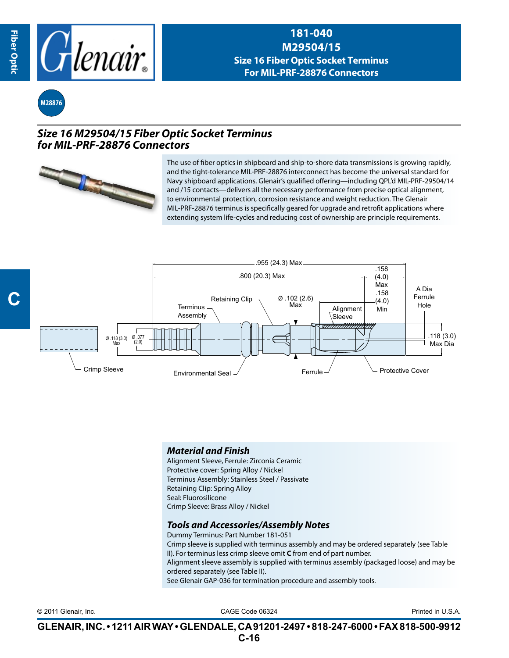

**181-040 M29504/15 Size 16 Fiber Optic Socket Terminus For MIL-PRF-28876 Connectors**



## *Size 16 M29504/15 Fiber Optic Socket Terminus for MIL-PRF-28876 Connectors*



The use of fiber optics in shipboard and ship-to-shore data transmissions is growing rapidly, and the tight-tolerance MIL-PRF-28876 interconnect has become the universal standard for Navy shipboard applications. Glenair's qualified offering—including QPL'd MIL-PRF-29504/14 and /15 contacts—delivers all the necessary performance from precise optical alignment, to environmental protection, corrosion resistance and weight reduction. The Glenair MIL-PRF-28876 terminus is specifically geared for upgrade and retrofit applications where extending system life-cycles and reducing cost of ownership are principle requirements.



## *Material and Finish*

Alignment Sleeve, Ferrule: Zirconia Ceramic Protective cover: Spring Alloy / Nickel Terminus Assembly: Stainless Steel / Passivate Retaining Clip: Spring Alloy Seal: Fluorosilicone Crimp Sleeve: Brass Alloy / Nickel

## *Tools and Accessories/Assembly Notes*

Dummy Terminus: Part Number 181-051 Crimp sleeve is supplied with terminus assembly and may be ordered separately (see Table II). For terminus less crimp sleeve omit **C** from end of part number. Alignment sleeve assembly is supplied with terminus assembly (packaged loose) and may be ordered separately (see Table II). See Glenair GAP-036 for termination procedure and assembly tools.

CAGE Code 06324 © 2011 Glenair, Inc. Printed in U.S.A.